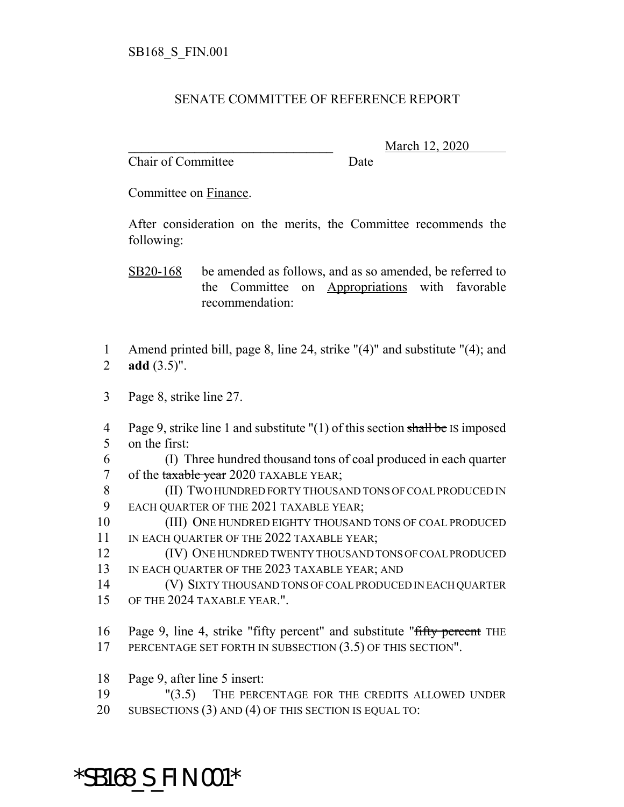## SENATE COMMITTEE OF REFERENCE REPORT

Chair of Committee Date

\_\_\_\_\_\_\_\_\_\_\_\_\_\_\_\_\_\_\_\_\_\_\_\_\_\_\_\_\_\_\_ March 12, 2020

Committee on Finance.

After consideration on the merits, the Committee recommends the following:

SB20-168 be amended as follows, and as so amended, be referred to the Committee on Appropriations with favorable recommendation:

- 1 Amend printed bill, page 8, line 24, strike "(4)" and substitute "(4); and 2 **add** (3.5)".
- 3 Page 8, strike line 27.
- 4 Page 9, strike line 1 and substitute "(1) of this section shall be IS imposed 5 on the first:
- 6 (I) Three hundred thousand tons of coal produced in each quarter 7 of the taxable year 2020 TAXABLE YEAR;
- 8 (II) TWO HUNDRED FORTY THOUSAND TONS OF COAL PRODUCED IN 9 EACH QUARTER OF THE 2021 TAXABLE YEAR;
- 10 (III) ONE HUNDRED EIGHTY THOUSAND TONS OF COAL PRODUCED 11 IN EACH QUARTER OF THE 2022 TAXABLE YEAR;
- 12 (IV) ONE HUNDRED TWENTY THOUSAND TONS OF COAL PRODUCED
- 13 IN EACH QUARTER OF THE 2023 TAXABLE YEAR; AND
- 14 (V) SIXTY THOUSAND TONS OF COAL PRODUCED IN EACH QUARTER 15 OF THE 2024 TAXABLE YEAR.".
- 16 Page 9, line 4, strike "fifty percent" and substitute "fifty percent THE 17 PERCENTAGE SET FORTH IN SUBSECTION (3.5) OF THIS SECTION".
- 18 Page 9, after line 5 insert:
- 19 "(3.5) THE PERCENTAGE FOR THE CREDITS ALLOWED UNDER 20 SUBSECTIONS (3) AND (4) OF THIS SECTION IS EQUAL TO:

## \*SB168\_S\_FIN.001\*